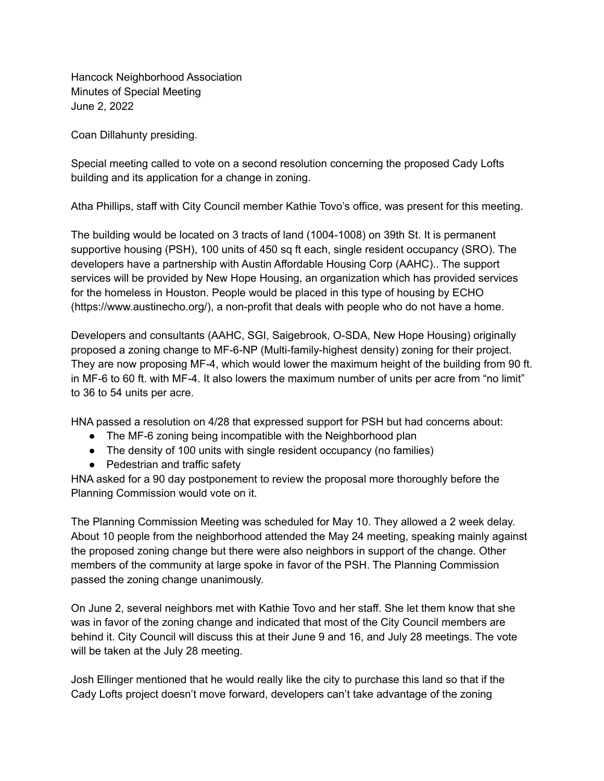Hancock Neighborhood Association Minutes of Special Meeting June 2, 2022

Coan Dillahunty presiding.

Special meeting called to vote on a second resolution concerning the proposed Cady Lofts building and its application for a change in zoning.

Atha Phillips, staff with City Council member Kathie Tovo's office, was present for this meeting.

The building would be located on 3 tracts of land (1004-1008) on 39th St. It is permanent supportive housing (PSH), 100 units of 450 sq ft each, single resident occupancy (SRO). The developers have a partnership with Austin Affordable Housing Corp (AAHC).. The support services will be provided by New Hope Housing, an organization which has provided services for the homeless in Houston. People would be placed in this type of housing by ECHO (https://www.austinecho.org/), a non-profit that deals with people who do not have a home.

Developers and consultants (AAHC, SGI, Saigebrook, O-SDA, New Hope Housing) originally proposed a zoning change to MF-6-NP (Multi-family-highest density) zoning for their project. They are now proposing MF-4, which would lower the maximum height of the building from 90 ft. in MF-6 to 60 ft. with MF-4. It also lowers the maximum number of units per acre from "no limit" to 36 to 54 units per acre.

HNA passed a resolution on 4/28 that expressed support for PSH but had concerns about:

- The MF-6 zoning being incompatible with the Neighborhood plan
- The density of 100 units with single resident occupancy (no families)
- Pedestrian and traffic safety

HNA asked for a 90 day postponement to review the proposal more thoroughly before the Planning Commission would vote on it.

The Planning Commission Meeting was scheduled for May 10. They allowed a 2 week delay. About 10 people from the neighborhood attended the May 24 meeting, speaking mainly against the proposed zoning change but there were also neighbors in support of the change. Other members of the community at large spoke in favor of the PSH. The Planning Commission passed the zoning change unanimously.

On June 2, several neighbors met with Kathie Tovo and her staff. She let them know that she was in favor of the zoning change and indicated that most of the City Council members are behind it. City Council will discuss this at their June 9 and 16, and July 28 meetings. The vote will be taken at the July 28 meeting.

Josh Ellinger mentioned that he would really like the city to purchase this land so that if the Cady Lofts project doesn't move forward, developers can't take advantage of the zoning